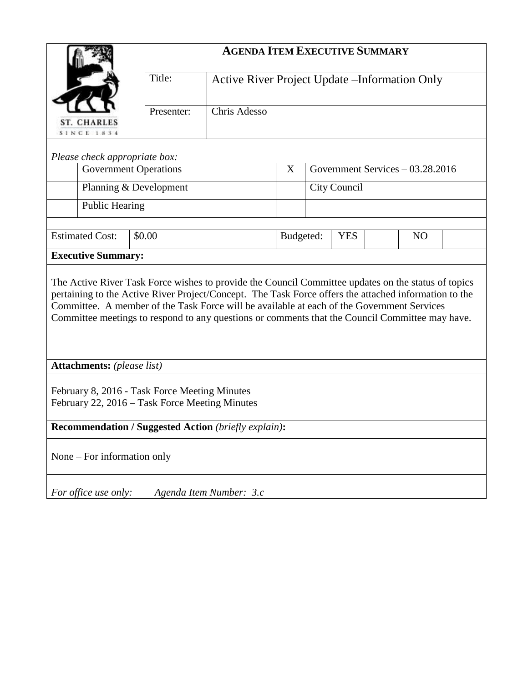|                                                                                                                                                                                                                                                                                                                                                                                                               |                              | <b>AGENDA ITEM EXECUTIVE SUMMARY</b>           |           |                                  |            |                |  |  |
|---------------------------------------------------------------------------------------------------------------------------------------------------------------------------------------------------------------------------------------------------------------------------------------------------------------------------------------------------------------------------------------------------------------|------------------------------|------------------------------------------------|-----------|----------------------------------|------------|----------------|--|--|
|                                                                                                                                                                                                                                                                                                                                                                                                               | Title:                       | Active River Project Update – Information Only |           |                                  |            |                |  |  |
| <b>ST. CHARLES</b><br><b>SINCE 1834</b>                                                                                                                                                                                                                                                                                                                                                                       | Presenter:                   | Chris Adesso                                   |           |                                  |            |                |  |  |
| Please check appropriate box:                                                                                                                                                                                                                                                                                                                                                                                 |                              |                                                |           |                                  |            |                |  |  |
|                                                                                                                                                                                                                                                                                                                                                                                                               | <b>Government Operations</b> |                                                |           | Government Services - 03.28.2016 |            |                |  |  |
| Planning & Development                                                                                                                                                                                                                                                                                                                                                                                        |                              |                                                |           | City Council                     |            |                |  |  |
| Public Hearing                                                                                                                                                                                                                                                                                                                                                                                                |                              |                                                |           |                                  |            |                |  |  |
|                                                                                                                                                                                                                                                                                                                                                                                                               |                              |                                                |           |                                  |            |                |  |  |
| <b>Estimated Cost:</b>                                                                                                                                                                                                                                                                                                                                                                                        | \$0.00                       |                                                | Budgeted: |                                  | <b>YES</b> | N <sub>O</sub> |  |  |
| <b>Executive Summary:</b>                                                                                                                                                                                                                                                                                                                                                                                     |                              |                                                |           |                                  |            |                |  |  |
| The Active River Task Force wishes to provide the Council Committee updates on the status of topics<br>pertaining to the Active River Project/Concept. The Task Force offers the attached information to the<br>Committee. A member of the Task Force will be available at each of the Government Services<br>Committee meetings to respond to any questions or comments that the Council Committee may have. |                              |                                                |           |                                  |            |                |  |  |
| <b>Attachments:</b> (please list)                                                                                                                                                                                                                                                                                                                                                                             |                              |                                                |           |                                  |            |                |  |  |
| February 8, 2016 - Task Force Meeting Minutes<br>February 22, 2016 - Task Force Meeting Minutes                                                                                                                                                                                                                                                                                                               |                              |                                                |           |                                  |            |                |  |  |
| Recommendation / Suggested Action (briefly explain):                                                                                                                                                                                                                                                                                                                                                          |                              |                                                |           |                                  |            |                |  |  |
| None – For information only                                                                                                                                                                                                                                                                                                                                                                                   |                              |                                                |           |                                  |            |                |  |  |
| For office use only:                                                                                                                                                                                                                                                                                                                                                                                          |                              | Agenda Item Number: 3.c                        |           |                                  |            |                |  |  |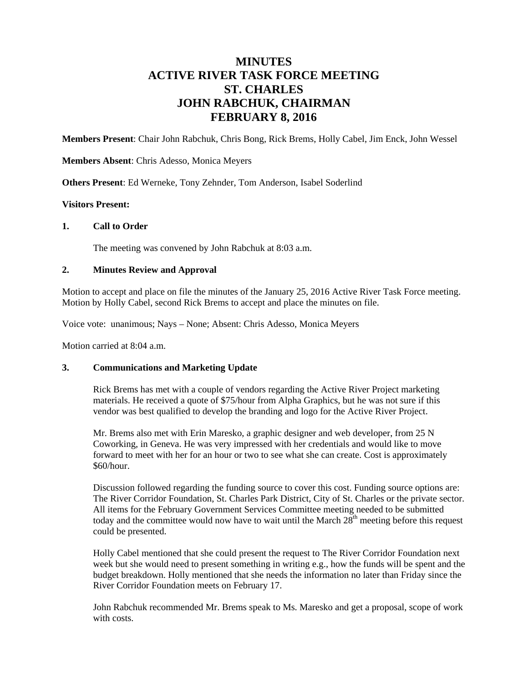# **MINUTES ACTIVE RIVER TASK FORCE MEETING ST. CHARLES JOHN RABCHUK, CHAIRMAN FEBRUARY 8, 2016**

**Members Present**: Chair John Rabchuk, Chris Bong, Rick Brems, Holly Cabel, Jim Enck, John Wessel

**Members Absent**: Chris Adesso, Monica Meyers

**Others Present**: Ed Werneke, Tony Zehnder, Tom Anderson, Isabel Soderlind

### **Visitors Present:**

### **1. Call to Order**

The meeting was convened by John Rabchuk at 8:03 a.m.

### **2. Minutes Review and Approval**

Motion to accept and place on file the minutes of the January 25, 2016 Active River Task Force meeting. Motion by Holly Cabel, second Rick Brems to accept and place the minutes on file.

Voice vote: unanimous; Nays – None; Absent: Chris Adesso, Monica Meyers

Motion carried at 8:04 a.m.

## **3. Communications and Marketing Update**

Rick Brems has met with a couple of vendors regarding the Active River Project marketing materials. He received a quote of \$75/hour from Alpha Graphics, but he was not sure if this vendor was best qualified to develop the branding and logo for the Active River Project.

Mr. Brems also met with Erin Maresko, a graphic designer and web developer, from 25 N Coworking, in Geneva. He was very impressed with her credentials and would like to move forward to meet with her for an hour or two to see what she can create. Cost is approximately \$60/hour.

Discussion followed regarding the funding source to cover this cost. Funding source options are: The River Corridor Foundation, St. Charles Park District, City of St. Charles or the private sector. All items for the February Government Services Committee meeting needed to be submitted today and the committee would now have to wait until the March  $28<sup>th</sup>$  meeting before this request could be presented.

Holly Cabel mentioned that she could present the request to The River Corridor Foundation next week but she would need to present something in writing e.g., how the funds will be spent and the budget breakdown. Holly mentioned that she needs the information no later than Friday since the River Corridor Foundation meets on February 17.

John Rabchuk recommended Mr. Brems speak to Ms. Maresko and get a proposal, scope of work with costs.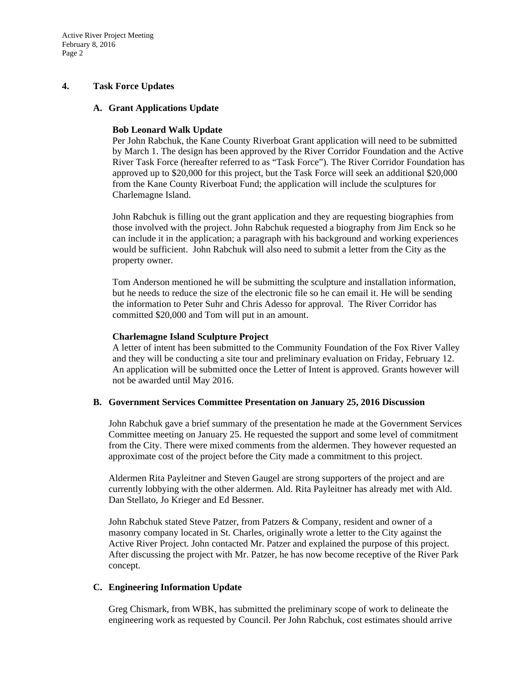Active River Project Meeting February 8, 2016 Page 2

### **4. Task Force Updates**

### **A. Grant Applications Update**

### **Bob Leonard Walk Update**

Per John Rabchuk, the Kane County Riverboat Grant application will need to be submitted by March 1. The design has been approved by the River Corridor Foundation and the Active River Task Force (hereafter referred to as "Task Force"). The River Corridor Foundation has approved up to \$20,000 for this project, but the Task Force will seek an additional \$20,000 from the Kane County Riverboat Fund; the application will include the sculptures for Charlemagne Island.

John Rabchuk is filling out the grant application and they are requesting biographies from those involved with the project. John Rabchuk requested a biography from Jim Enck so he can include it in the application; a paragraph with his background and working experiences would be sufficient. John Rabchuk will also need to submit a letter from the City as the property owner.

Tom Anderson mentioned he will be submitting the sculpture and installation information, but he needs to reduce the size of the electronic file so he can email it. He will be sending the information to Peter Suhr and Chris Adesso for approval. The River Corridor has committed \$20,000 and Tom will put in an amount.

### **Charlemagne Island Sculpture Project**

A letter of intent has been submitted to the Community Foundation of the Fox River Valley and they will be conducting a site tour and preliminary evaluation on Friday, February 12. An application will be submitted once the Letter of Intent is approved. Grants however will not be awarded until May 2016.

### **B. Government Services Committee Presentation on January 25, 2016 Discussion**

John Rabchuk gave a brief summary of the presentation he made at the Government Services Committee meeting on January 25. He requested the support and some level of commitment from the City. There were mixed comments from the aldermen. They however requested an approximate cost of the project before the City made a commitment to this project.

Aldermen Rita Payleitner and Steven Gaugel are strong supporters of the project and are currently lobbying with the other aldermen. Ald. Rita Payleitner has already met with Ald. Dan Stellato, Jo Krieger and Ed Bessner.

John Rabchuk stated Steve Patzer, from Patzers & Company, resident and owner of a masonry company located in St. Charles, originally wrote a letter to the City against the Active River Project. John contacted Mr. Patzer and explained the purpose of this project. After discussing the project with Mr. Patzer, he has now become receptive of the River Park concept.

## **C. Engineering Information Update**

Greg Chismark, from WBK, has submitted the preliminary scope of work to delineate the engineering work as requested by Council. Per John Rabchuk, cost estimates should arrive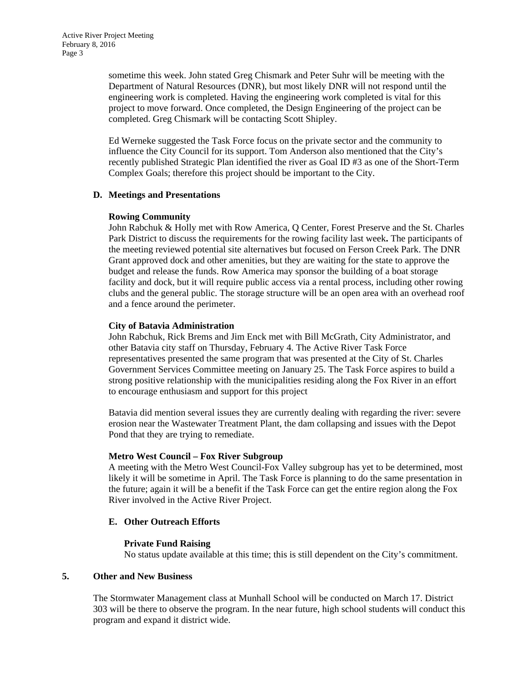sometime this week. John stated Greg Chismark and Peter Suhr will be meeting with the Department of Natural Resources (DNR), but most likely DNR will not respond until the engineering work is completed. Having the engineering work completed is vital for this project to move forward. Once completed, the Design Engineering of the project can be completed. Greg Chismark will be contacting Scott Shipley.

Ed Werneke suggested the Task Force focus on the private sector and the community to influence the City Council for its support. Tom Anderson also mentioned that the City's recently published Strategic Plan identified the river as Goal ID #3 as one of the Short-Term Complex Goals; therefore this project should be important to the City.

### **D. Meetings and Presentations**

### **Rowing Community**

John Rabchuk & Holly met with Row America, Q Center, Forest Preserve and the St. Charles Park District to discuss the requirements for the rowing facility last week**.** The participants of the meeting reviewed potential site alternatives but focused on Ferson Creek Park. The DNR Grant approved dock and other amenities, but they are waiting for the state to approve the budget and release the funds. Row America may sponsor the building of a boat storage facility and dock, but it will require public access via a rental process, including other rowing clubs and the general public. The storage structure will be an open area with an overhead roof and a fence around the perimeter.

## **City of Batavia Administration**

John Rabchuk, Rick Brems and Jim Enck met with Bill McGrath, City Administrator, and other Batavia city staff on Thursday, February 4. The Active River Task Force representatives presented the same program that was presented at the City of St. Charles Government Services Committee meeting on January 25. The Task Force aspires to build a strong positive relationship with the municipalities residing along the Fox River in an effort to encourage enthusiasm and support for this project

Batavia did mention several issues they are currently dealing with regarding the river: severe erosion near the Wastewater Treatment Plant, the dam collapsing and issues with the Depot Pond that they are trying to remediate.

### **Metro West Council – Fox River Subgroup**

A meeting with the Metro West Council-Fox Valley subgroup has yet to be determined, most likely it will be sometime in April. The Task Force is planning to do the same presentation in the future; again it will be a benefit if the Task Force can get the entire region along the Fox River involved in the Active River Project.

## **E. Other Outreach Efforts**

## **Private Fund Raising**

No status update available at this time; this is still dependent on the City's commitment.

### **5. Other and New Business**

The Stormwater Management class at Munhall School will be conducted on March 17. District 303 will be there to observe the program. In the near future, high school students will conduct this program and expand it district wide.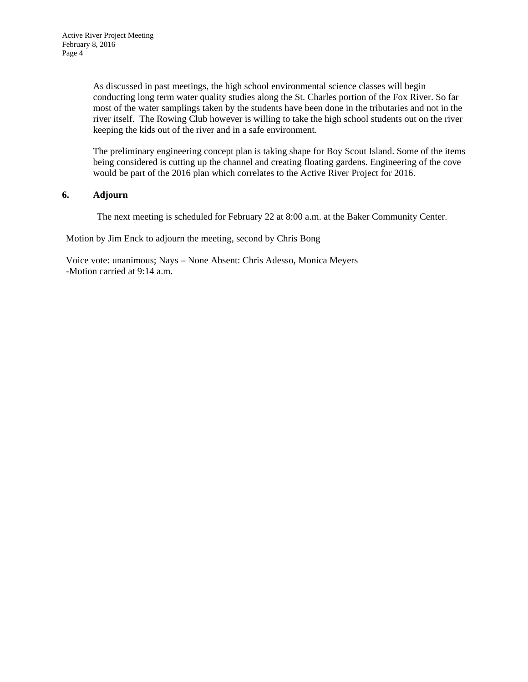As discussed in past meetings, the high school environmental science classes will begin conducting long term water quality studies along the St. Charles portion of the Fox River. So far most of the water samplings taken by the students have been done in the tributaries and not in the river itself. The Rowing Club however is willing to take the high school students out on the river keeping the kids out of the river and in a safe environment.

The preliminary engineering concept plan is taking shape for Boy Scout Island. Some of the items being considered is cutting up the channel and creating floating gardens. Engineering of the cove would be part of the 2016 plan which correlates to the Active River Project for 2016.

## **6. Adjourn**

The next meeting is scheduled for February 22 at 8:00 a.m. at the Baker Community Center.

Motion by Jim Enck to adjourn the meeting, second by Chris Bong

Voice vote: unanimous; Nays – None Absent: Chris Adesso, Monica Meyers -Motion carried at 9:14 a.m.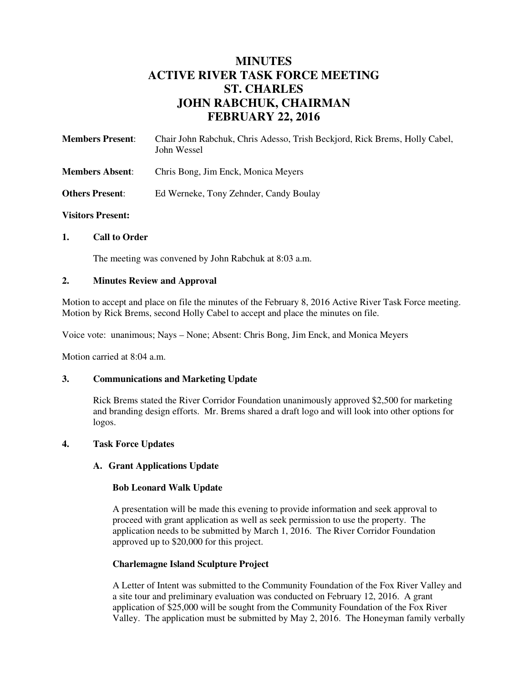# **MINUTES ACTIVE RIVER TASK FORCE MEETING ST. CHARLES JOHN RABCHUK, CHAIRMAN FEBRUARY 22, 2016**

| <b>Members Present:</b> | Chair John Rabchuk, Chris Adesso, Trish Beckjord, Rick Brems, Holly Cabel,<br>John Wessel |  |  |  |
|-------------------------|-------------------------------------------------------------------------------------------|--|--|--|
| <b>Members Absent:</b>  | Chris Bong, Jim Enck, Monica Meyers                                                       |  |  |  |
| <b>Others Present:</b>  | Ed Werneke, Tony Zehnder, Candy Boulay                                                    |  |  |  |

## **Visitors Present:**

## **1. Call to Order**

The meeting was convened by John Rabchuk at 8:03 a.m.

### **2. Minutes Review and Approval**

Motion to accept and place on file the minutes of the February 8, 2016 Active River Task Force meeting. Motion by Rick Brems, second Holly Cabel to accept and place the minutes on file.

Voice vote: unanimous; Nays – None; Absent: Chris Bong, Jim Enck, and Monica Meyers

Motion carried at 8:04 a.m.

## **3. Communications and Marketing Update**

Rick Brems stated the River Corridor Foundation unanimously approved \$2,500 for marketing and branding design efforts. Mr. Brems shared a draft logo and will look into other options for logos.

### **4. Task Force Updates**

## **A. Grant Applications Update**

## **Bob Leonard Walk Update**

A presentation will be made this evening to provide information and seek approval to proceed with grant application as well as seek permission to use the property. The application needs to be submitted by March 1, 2016. The River Corridor Foundation approved up to \$20,000 for this project.

## **Charlemagne Island Sculpture Project**

A Letter of Intent was submitted to the Community Foundation of the Fox River Valley and a site tour and preliminary evaluation was conducted on February 12, 2016. A grant application of \$25,000 will be sought from the Community Foundation of the Fox River Valley. The application must be submitted by May 2, 2016. The Honeyman family verbally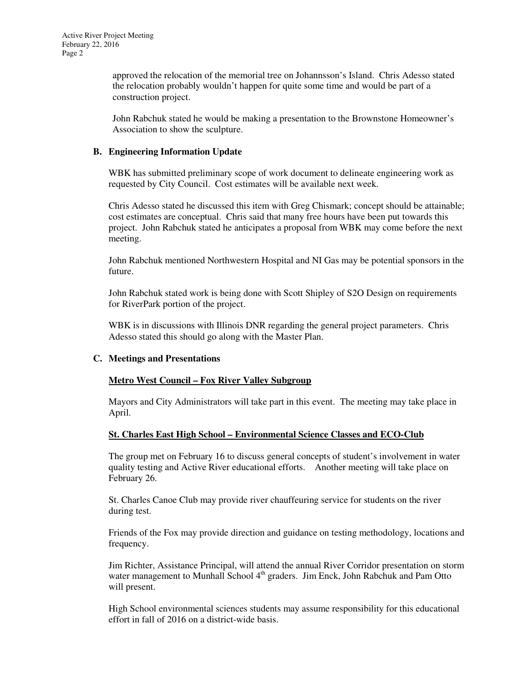approved the relocation of the memorial tree on Johannsson's Island. Chris Adesso stated the relocation probably wouldn't happen for quite some time and would be part of a construction project.

John Rabchuk stated he would be making a presentation to the Brownstone Homeowner's Association to show the sculpture.

## **B. Engineering Information Update**

WBK has submitted preliminary scope of work document to delineate engineering work as requested by City Council. Cost estimates will be available next week.

Chris Adesso stated he discussed this item with Greg Chismark; concept should be attainable; cost estimates are conceptual. Chris said that many free hours have been put towards this project. John Rabchuk stated he anticipates a proposal from WBK may come before the next meeting.

John Rabchuk mentioned Northwestern Hospital and NI Gas may be potential sponsors in the future.

John Rabchuk stated work is being done with Scott Shipley of S2O Design on requirements for RiverPark portion of the project.

WBK is in discussions with Illinois DNR regarding the general project parameters. Chris Adesso stated this should go along with the Master Plan.

## **C. Meetings and Presentations**

## **Metro West Council – Fox River Valley Subgroup**

Mayors and City Administrators will take part in this event. The meeting may take place in April.

## **St. Charles East High School – Environmental Science Classes and ECO-Club**

The group met on February 16 to discuss general concepts of student's involvement in water quality testing and Active River educational efforts. Another meeting will take place on February 26.

St. Charles Canoe Club may provide river chauffeuring service for students on the river during test.

Friends of the Fox may provide direction and guidance on testing methodology, locations and frequency.

Jim Richter, Assistance Principal, will attend the annual River Corridor presentation on storm water management to Munhall School 4<sup>th</sup> graders. Jim Enck, John Rabchuk and Pam Otto will present.

High School environmental sciences students may assume responsibility for this educational effort in fall of 2016 on a district-wide basis.